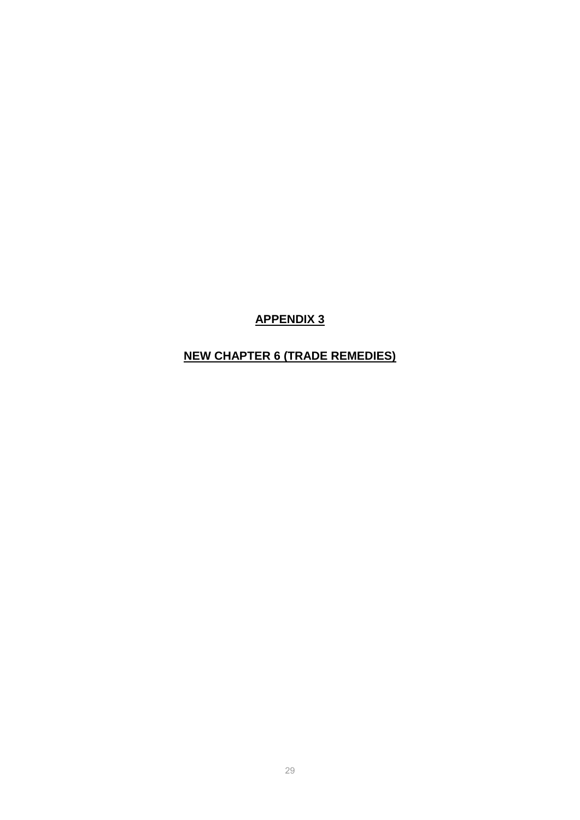**APPENDIX 3**

# **NEW CHAPTER 6 (TRADE REMEDIES)**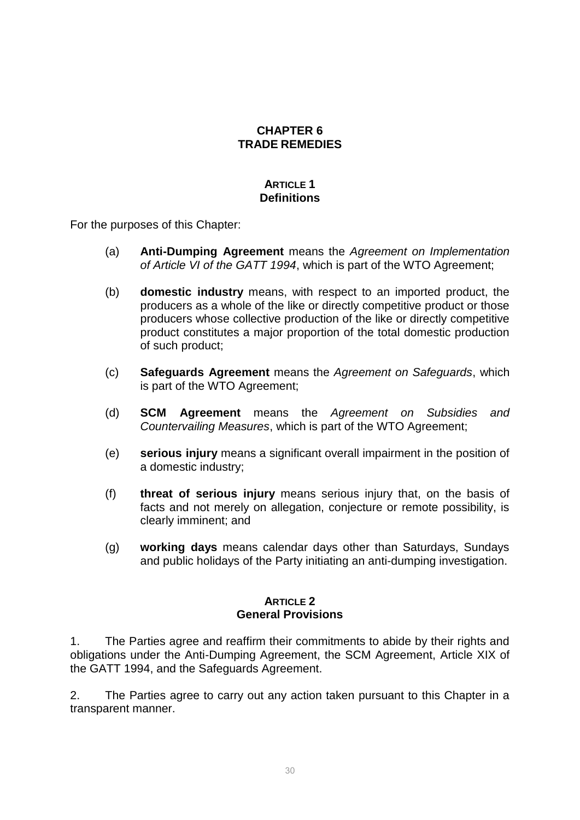## **CHAPTER 6 TRADE REMEDIES**

## **ARTICLE 1 Definitions**

For the purposes of this Chapter:

- (a) **Anti-Dumping Agreement** means the *Agreement on Implementation of Article VI of the GATT 1994*, which is part of the WTO Agreement;
- (b) **domestic industry** means, with respect to an imported product, the producers as a whole of the like or directly competitive product or those producers whose collective production of the like or directly competitive product constitutes a major proportion of the total domestic production of such product;
- (c) **Safeguards Agreement** means the *Agreement on Safeguards*, which is part of the WTO Agreement;
- (d) **SCM Agreement** means the *Agreement on Subsidies and Countervailing Measures*, which is part of the WTO Agreement;
- (e) **serious injury** means a significant overall impairment in the position of a domestic industry;
- (f) **threat of serious injury** means serious injury that, on the basis of facts and not merely on allegation, conjecture or remote possibility, is clearly imminent; and
- (g) **working days** means calendar days other than Saturdays, Sundays and public holidays of the Party initiating an anti-dumping investigation.

### **ARTICLE 2 General Provisions**

1. The Parties agree and reaffirm their commitments to abide by their rights and obligations under the Anti-Dumping Agreement, the SCM Agreement, Article XIX of the GATT 1994, and the Safeguards Agreement.

2. The Parties agree to carry out any action taken pursuant to this Chapter in a transparent manner.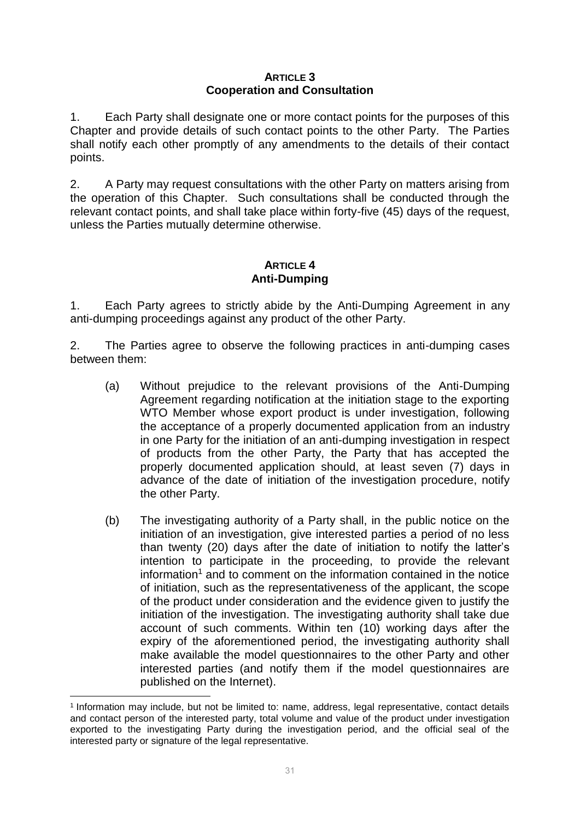#### **ARTICLE 3 Cooperation and Consultation**

1. Each Party shall designate one or more contact points for the purposes of this Chapter and provide details of such contact points to the other Party. The Parties shall notify each other promptly of any amendments to the details of their contact points.

2. A Party may request consultations with the other Party on matters arising from the operation of this Chapter. Such consultations shall be conducted through the relevant contact points, and shall take place within forty-five (45) days of the request, unless the Parties mutually determine otherwise.

## **ARTICLE 4 Anti-Dumping**

1. Each Party agrees to strictly abide by the Anti-Dumping Agreement in any anti-dumping proceedings against any product of the other Party.

2. The Parties agree to observe the following practices in anti-dumping cases between them:

- (a) Without prejudice to the relevant provisions of the Anti-Dumping Agreement regarding notification at the initiation stage to the exporting WTO Member whose export product is under investigation, following the acceptance of a properly documented application from an industry in one Party for the initiation of an anti-dumping investigation in respect of products from the other Party, the Party that has accepted the properly documented application should, at least seven (7) days in advance of the date of initiation of the investigation procedure, notify the other Party.
- (b) The investigating authority of a Party shall, in the public notice on the initiation of an investigation, give interested parties a period of no less than twenty (20) days after the date of initiation to notify the latter's intention to participate in the proceeding, to provide the relevant  $information<sup>1</sup>$  and to comment on the information contained in the notice of initiation, such as the representativeness of the applicant, the scope of the product under consideration and the evidence given to justify the initiation of the investigation. The investigating authority shall take due account of such comments. Within ten (10) working days after the expiry of the aforementioned period, the investigating authority shall make available the model questionnaires to the other Party and other interested parties (and notify them if the model questionnaires are published on the Internet).

**.** 

<sup>1</sup> Information may include, but not be limited to: name, address, legal representative, contact details and contact person of the interested party, total volume and value of the product under investigation exported to the investigating Party during the investigation period, and the official seal of the interested party or signature of the legal representative.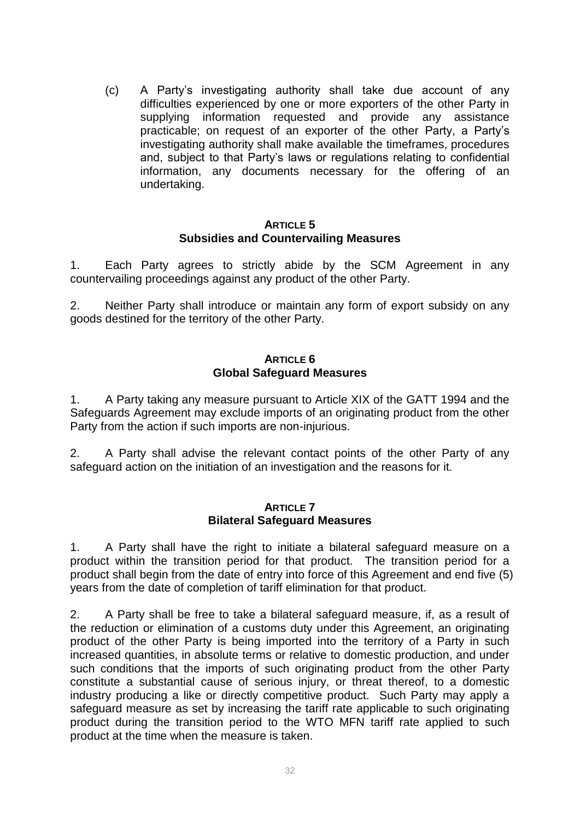(c) A Party's investigating authority shall take due account of any difficulties experienced by one or more exporters of the other Party in supplying information requested and provide any assistance practicable; on request of an exporter of the other Party, a Party's investigating authority shall make available the timeframes, procedures and, subject to that Party's laws or regulations relating to confidential information, any documents necessary for the offering of an undertaking.

#### **ARTICLE 5 Subsidies and Countervailing Measures**

1. Each Party agrees to strictly abide by the SCM Agreement in any countervailing proceedings against any product of the other Party.

2. Neither Party shall introduce or maintain any form of export subsidy on any goods destined for the territory of the other Party.

### **ARTICLE 6 Global Safeguard Measures**

1. A Party taking any measure pursuant to Article XIX of the GATT 1994 and the Safeguards Agreement may exclude imports of an originating product from the other Party from the action if such imports are non-injurious.

2. A Party shall advise the relevant contact points of the other Party of any safeguard action on the initiation of an investigation and the reasons for it.

#### **ARTICLE 7 Bilateral Safeguard Measures**

1. A Party shall have the right to initiate a bilateral safeguard measure on a product within the transition period for that product. The transition period for a product shall begin from the date of entry into force of this Agreement and end five (5) years from the date of completion of tariff elimination for that product.

2. A Party shall be free to take a bilateral safeguard measure, if, as a result of the reduction or elimination of a customs duty under this Agreement, an originating product of the other Party is being imported into the territory of a Party in such increased quantities, in absolute terms or relative to domestic production, and under such conditions that the imports of such originating product from the other Party constitute a substantial cause of serious injury, or threat thereof, to a domestic industry producing a like or directly competitive product. Such Party may apply a safeguard measure as set by increasing the tariff rate applicable to such originating product during the transition period to the WTO MFN tariff rate applied to such product at the time when the measure is taken.